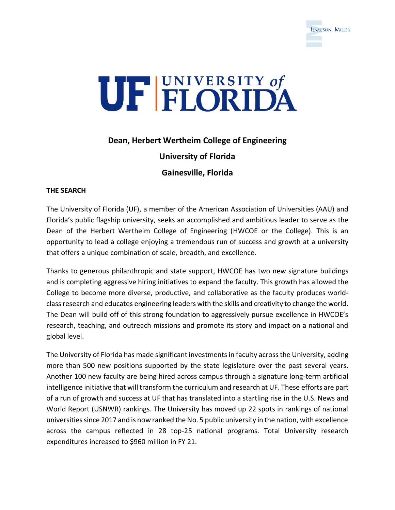



# **Dean, Herbert Wertheim College of Engineering**

**University of Florida**

**Gainesville, Florida**

### **THE SEARCH**

The University of Florida (UF), a member of the American Association of Universities (AAU) and Florida's public flagship university, seeks an accomplished and ambitious leader to serve as the Dean of the Herbert Wertheim College of Engineering (HWCOE or the College). This is an opportunity to lead a college enjoying a tremendous run of success and growth at a university that offers a unique combination of scale, breadth, and excellence.

Thanks to generous philanthropic and state support, HWCOE has two new signature buildings and is completing aggressive hiring initiatives to expand the faculty. This growth has allowed the College to become more diverse, productive, and collaborative as the faculty produces worldclass research and educates engineering leaders with the skills and creativity to change the world. The Dean will build off of this strong foundation to aggressively pursue excellence in HWCOE's research, teaching, and outreach missions and promote its story and impact on a national and global level.

The University of Florida has made significant investments in faculty across the University, adding more than 500 new positions supported by the state legislature over the past several years. Another 100 new faculty are being hired across campus through a signature long-term artificial intelligence initiative that will transform the curriculum and research at UF. These efforts are part of a run of growth and success at UF that has translated into a startling rise in the U.S. News and World Report (USNWR) rankings. The University has moved up 22 spots in rankings of national universities since 2017 and is now ranked the No. 5 public university in the nation, with excellence across the campus reflected in 28 top-25 national programs. Total University research expenditures increased to \$960 million in FY 21.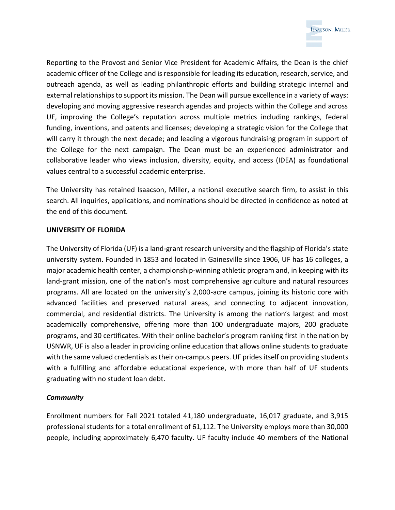

Reporting to the Provost and Senior Vice President for Academic Affairs, the Dean is the chief academic officer of the College and is responsible for leading its education, research, service, and outreach agenda, as well as leading philanthropic efforts and building strategic internal and external relationships to support its mission. The Dean will pursue excellence in a variety of ways: developing and moving aggressive research agendas and projects within the College and across UF, improving the College's reputation across multiple metrics including rankings, federal funding, inventions, and patents and licenses; developing a strategic vision for the College that will carry it through the next decade; and leading a vigorous fundraising program in support of the College for the next campaign. The Dean must be an experienced administrator and collaborative leader who views inclusion, diversity, equity, and access (IDEA) as foundational values central to a successful academic enterprise.

The University has retained Isaacson, Miller, a national executive search firm, to assist in this search. All inquiries, applications, and nominations should be directed in confidence as noted at the end of this document.

#### **UNIVERSITY OF FLORIDA**

The University of Florida (UF) is a land-grant research university and the flagship of Florida's state university system. Founded in 1853 and located in Gainesville since 1906, UF has 16 colleges, a major academic health center, a championship-winning athletic program and, in keeping with its land-grant mission, one of the nation's most comprehensive agriculture and natural resources programs. All are located on the university's 2,000-acre campus, joining its historic core with advanced facilities and preserved natural areas, and connecting to adjacent innovation, commercial, and residential districts. The University is among the nation's largest and most academically comprehensive, offering more than 100 undergraduate majors, 200 graduate programs, and 30 certificates. With their online bachelor's program ranking first in the nation by USNWR, UF is also a leader in providing online education that allows online students to graduate with the same valued credentials as their on-campus peers. UF prides itself on providing students with a fulfilling and affordable educational experience, with more than half of UF students graduating with no student loan debt.

### *Community*

Enrollment numbers for Fall 2021 totaled 41,180 undergraduate, 16,017 graduate, and 3,915 professional students for a total enrollment of 61,112. The University employs more than 30,000 people, including approximately 6,470 faculty. UF faculty include 40 members of the National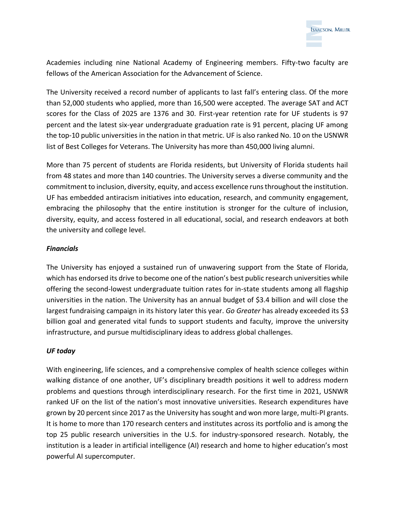

Academies including nine National Academy of Engineering members. Fifty-two faculty are fellows of the American Association for the Advancement of Science.

The University received a record number of applicants to last fall's entering class. Of the more than 52,000 students who applied, more than 16,500 were accepted. The average SAT and ACT scores for the Class of 2025 are 1376 and 30. First-year retention rate for UF students is 97 percent and the latest six-year undergraduate graduation rate is 91 percent, placing UF among the top-10 public universities in the nation in that metric. UF is also ranked No. 10 on the USNWR list of Best Colleges for Veterans. The University has more than 450,000 living alumni.

More than 75 percent of students are Florida residents, but University of Florida students hail from 48 states and more than 140 countries. The University serves a diverse community and the commitment to inclusion, diversity, equity, and access excellence runs throughout the institution. UF has embedded antiracism initiatives into education, research, and community engagement, embracing the philosophy that the entire institution is stronger for the culture of inclusion, diversity, equity, and access fostered in all educational, social, and research endeavors at both the university and college level.

### *Financials*

The University has enjoyed a sustained run of unwavering support from the State of Florida, which has endorsed its drive to become one of the nation's best public research universities while offering the second-lowest undergraduate tuition rates for in-state students among all flagship universities in the nation. The University has an annual budget of \$3.4 billion and will close the largest fundraising campaign in its history later this year. *Go Greater* has already exceeded its \$3 billion goal and generated vital funds to support students and faculty, improve the university infrastructure, and pursue multidisciplinary ideas to address global challenges.

## *UF today*

With engineering, life sciences, and a comprehensive complex of health science colleges within walking distance of one another, UF's disciplinary breadth positions it well to address modern problems and questions through interdisciplinary research. For the first time in 2021, USNWR ranked UF on the list of the nation's most innovative universities. Research expenditures have grown by 20 percent since 2017 as the University has sought and won more large, multi-PI grants. It is home to more than 170 research centers and institutes across its portfolio and is among the top 25 public research universities in the U.S. for industry-sponsored research. Notably, the institution is a leader in artificial intelligence (AI) research and home to higher education's most powerful AI supercomputer.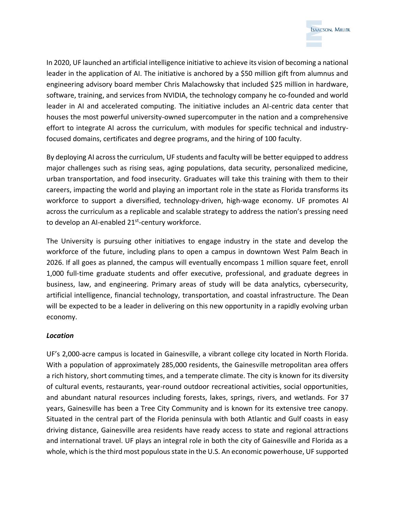

In 2020, UF launched an artificial intelligence initiative to achieve its vision of becoming a national leader in the application of AI. The initiative is anchored by a \$50 million gift from alumnus and engineering advisory board member Chris Malachowsky that included \$25 million in hardware, software, training, and services from NVIDIA, the technology company he co-founded and world leader in AI and accelerated computing. The initiative includes an AI-centric data center that houses the most powerful university-owned supercomputer in the nation and a comprehensive effort to integrate AI across the curriculum, with modules for specific technical and industryfocused domains, certificates and degree programs, and the hiring of 100 faculty.

By deploying AI across the curriculum, UF students and faculty will be better equipped to address major challenges such as rising seas, aging populations, data security, personalized medicine, urban transportation, and food insecurity. Graduates will take this training with them to their careers, impacting the world and playing an important role in the state as Florida transforms its workforce to support a diversified, technology-driven, high-wage economy. UF promotes AI across the curriculum as a replicable and scalable strategy to address the nation's pressing need to develop an AI-enabled 21<sup>st</sup>-century workforce.

The University is pursuing other initiatives to engage industry in the state and develop the workforce of the future, including plans to open a campus in downtown West Palm Beach in 2026. If all goes as planned, the campus will eventually encompass 1 million square feet, enroll 1,000 full-time graduate students and offer executive, professional, and graduate degrees in business, law, and engineering. Primary areas of study will be data analytics, cybersecurity, artificial intelligence, financial technology, transportation, and coastal infrastructure. The Dean will be expected to be a leader in delivering on this new opportunity in a rapidly evolving urban economy.

### *Location*

UF's 2,000-acre campus is located in Gainesville, a vibrant college city located in North Florida. With a population of approximately 285,000 residents, the Gainesville metropolitan area offers a rich history, short commuting times, and a temperate climate. The city is known for its diversity of cultural events, restaurants, year-round outdoor recreational activities, social opportunities, and abundant natural resources including forests, lakes, springs, rivers, and wetlands. For 37 years, Gainesville has been a Tree City Community and is known for its extensive tree canopy. Situated in the central part of the Florida peninsula with both Atlantic and Gulf coasts in easy driving distance, Gainesville area residents have ready access to state and regional attractions and international travel. UF plays an integral role in both the city of Gainesville and Florida as a whole, which is the third most populous state in the U.S. An economic powerhouse, UF supported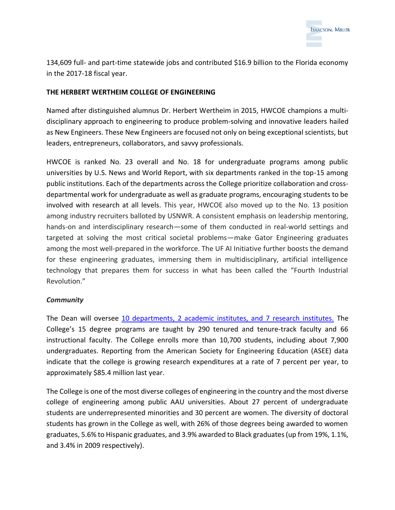

134,609 full- and part-time statewide jobs and contributed \$16.9 billion to the Florida economy in the 2017-18 fiscal year.

### **THE HERBERT WERTHEIM COLLEGE OF ENGINEERING**

Named after distinguished alumnus Dr. Herbert Wertheim in 2015, HWCOE champions a multidisciplinary approach to engineering to produce problem-solving and innovative leaders hailed as New Engineers. These New Engineers are focused not only on being exceptional scientists, but leaders, entrepreneurs, collaborators, and savvy professionals.

HWCOE is ranked No. 23 overall and No. 18 for undergraduate programs among public universities by U.S. News and World Report, with six departments ranked in the top-15 among public institutions. Each of the departments across the College prioritize collaboration and crossdepartmental work for undergraduate as well as graduate programs, encouraging students to be involved with research at all levels. This year, HWCOE also moved up to the No. 13 position among industry recruiters balloted by USNWR. A consistent emphasis on leadership mentoring, hands-on and interdisciplinary research—some of them conducted in real-world settings and targeted at solving the most critical societal problems—make Gator Engineering graduates among the most well-prepared in the workforce. The UF AI Initiative further boosts the demand for these engineering graduates, immersing them in multidisciplinary, artificial intelligence technology that prepares them for success in what has been called the "Fourth Industrial Revolution."

#### *Community*

The Dean will oversee [10 departments, 2 academic institutes, and 7 research institutes.](https://www.eng.ufl.edu/academics/schools-departments/) The College's 15 degree programs are taught by 290 tenured and tenure-track faculty and 66 instructional faculty. The College enrolls more than 10,700 students, including about 7,900 undergraduates. Reporting from the American Society for Engineering Education (ASEE) data indicate that the college is growing research expenditures at a rate of 7 percent per year, to approximately \$85.4 million last year.

The College is one of the most diverse colleges of engineering in the country and the most diverse college of engineering among public AAU universities. About 27 percent of undergraduate students are underrepresented minorities and 30 percent are women. The diversity of doctoral students has grown in the College as well, with 26% of those degrees being awarded to women graduates, 5.6% to Hispanic graduates, and 3.9% awarded to Black graduates (up from 19%, 1.1%, and 3.4% in 2009 respectively).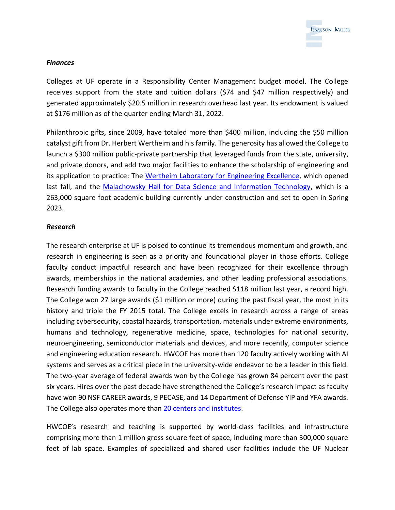

### *Finances*

Colleges at UF operate in a Responsibility Center Management budget model. The College receives support from the state and tuition dollars (\$74 and \$47 million respectively) and generated approximately \$20.5 million in research overhead last year. Its endowment is valued at \$176 million as of the quarter ending March 31, 2022.

Philanthropic gifts, since 2009, have totaled more than \$400 million, including the \$50 million catalyst gift from Dr. Herbert Wertheim and his family. The generosity has allowed the College to launch a \$300 million public-private partnership that leveraged funds from the state, university, and private donors, and add two major facilities to enhance the scholarship of engineering and its application to practice: The [Wertheim Laboratory for Engineering Excellence,](https://www.eng.ufl.edu/about/new-buildings/herbert-wertheim-laboratory-for-engineering-excellence/) which opened last fall, and the [Malachowsky Hall for Data Science and Information Technology,](https://www.eng.ufl.edu/about/new-buildings/malachowsky-hall-for-data-science-information-technology/) which is a 263,000 square foot academic building currently under construction and set to open in Spring 2023.

## *Research*

The research enterprise at UF is poised to continue its tremendous momentum and growth, and research in engineering is seen as a priority and foundational player in those efforts. College faculty conduct impactful research and have been recognized for their excellence through awards, memberships in the national academies, and other leading professional associations. Research funding awards to faculty in the College reached \$118 million last year, a record high. The College won 27 large awards (\$1 million or more) during the past fiscal year, the most in its history and triple the FY 2015 total. The College excels in research across a range of areas including cybersecurity, coastal hazards, transportation, materials under extreme environments, humans and technology, regenerative medicine, space, technologies for national security, neuroengineering, semiconductor materials and devices, and more recently, computer science and engineering education research. HWCOE has more than 120 faculty actively working with AI systems and serves as a critical piece in the university-wide endeavor to be a leader in this field. The two-year average of federal awards won by the College has grown 84 percent over the past six years. Hires over the past decade have strengthened the College's research impact as faculty have won 90 NSF CAREER awards, 9 PECASE, and 14 Department of Defense YIP and YFA awards. The College also operates more than [20 centers and institutes.](https://www.eng.ufl.edu/research/centers-institutes/)

HWCOE's research and teaching is supported by world-class facilities and infrastructure comprising more than 1 million gross square feet of space, including more than 300,000 square feet of lab space. Examples of specialized and shared user facilities include the UF Nuclear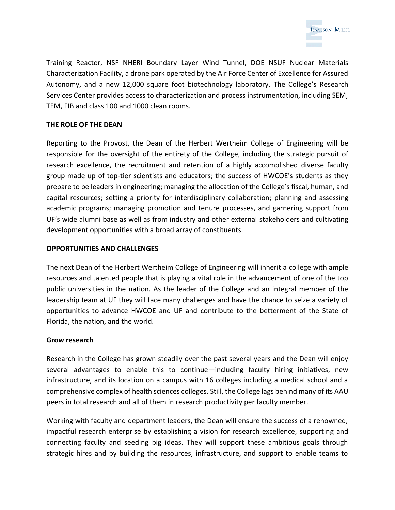

Training Reactor, NSF NHERI Boundary Layer Wind Tunnel, DOE NSUF Nuclear Materials Characterization Facility, a drone park operated by the Air Force Center of Excellence for Assured Autonomy, and a new 12,000 square foot biotechnology laboratory. The College's Research Services Center provides access to characterization and process instrumentation, including SEM, TEM, FIB and class 100 and 1000 clean rooms.

### **THE ROLE OF THE DEAN**

Reporting to the Provost, the Dean of the Herbert Wertheim College of Engineering will be responsible for the oversight of the entirety of the College, including the strategic pursuit of research excellence, the recruitment and retention of a highly accomplished diverse faculty group made up of top-tier scientists and educators; the success of HWCOE's students as they prepare to be leaders in engineering; managing the allocation of the College's fiscal, human, and capital resources; setting a priority for interdisciplinary collaboration; planning and assessing academic programs; managing promotion and tenure processes, and garnering support from UF's wide alumni base as well as from industry and other external stakeholders and cultivating development opportunities with a broad array of constituents.

### **OPPORTUNITIES AND CHALLENGES**

The next Dean of the Herbert Wertheim College of Engineering will inherit a college with ample resources and talented people that is playing a vital role in the advancement of one of the top public universities in the nation. As the leader of the College and an integral member of the leadership team at UF they will face many challenges and have the chance to seize a variety of opportunities to advance HWCOE and UF and contribute to the betterment of the State of Florida, the nation, and the world.

### **Grow research**

Research in the College has grown steadily over the past several years and the Dean will enjoy several advantages to enable this to continue—including faculty hiring initiatives, new infrastructure, and its location on a campus with 16 colleges including a medical school and a comprehensive complex of health sciences colleges. Still, the College lags behind many of its AAU peers in total research and all of them in research productivity per faculty member.

Working with faculty and department leaders, the Dean will ensure the success of a renowned, impactful research enterprise by establishing a vision for research excellence, supporting and connecting faculty and seeding big ideas. They will support these ambitious goals through strategic hires and by building the resources, infrastructure, and support to enable teams to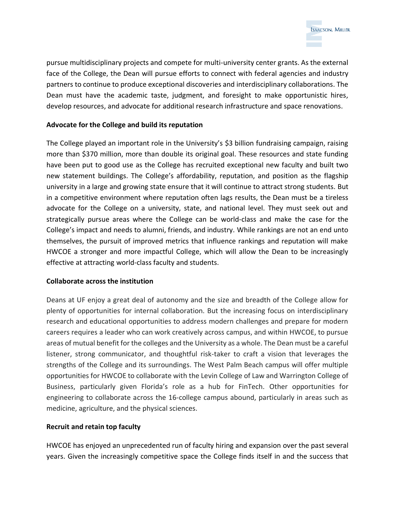

pursue multidisciplinary projects and compete for multi-university center grants. As the external face of the College, the Dean will pursue efforts to connect with federal agencies and industry partners to continue to produce exceptional discoveries and interdisciplinary collaborations. The Dean must have the academic taste, judgment, and foresight to make opportunistic hires, develop resources, and advocate for additional research infrastructure and space renovations.

## **Advocate for the College and build its reputation**

The College played an important role in the University's \$3 billion fundraising campaign, raising more than \$370 million, more than double its original goal. These resources and state funding have been put to good use as the College has recruited exceptional new faculty and built two new statement buildings. The College's affordability, reputation, and position as the flagship university in a large and growing state ensure that it will continue to attract strong students. But in a competitive environment where reputation often lags results, the Dean must be a tireless advocate for the College on a university, state, and national level. They must seek out and strategically pursue areas where the College can be world-class and make the case for the College's impact and needs to alumni, friends, and industry. While rankings are not an end unto themselves, the pursuit of improved metrics that influence rankings and reputation will make HWCOE a stronger and more impactful College, which will allow the Dean to be increasingly effective at attracting world-class faculty and students.

### **Collaborate across the institution**

Deans at UF enjoy a great deal of autonomy and the size and breadth of the College allow for plenty of opportunities for internal collaboration. But the increasing focus on interdisciplinary research and educational opportunities to address modern challenges and prepare for modern careers requires a leader who can work creatively across campus, and within HWCOE, to pursue areas of mutual benefit for the colleges and the University as a whole. The Dean must be a careful listener, strong communicator, and thoughtful risk-taker to craft a vision that leverages the strengths of the College and its surroundings. The West Palm Beach campus will offer multiple opportunities for HWCOE to collaborate with the Levin College of Law and Warrington College of Business, particularly given Florida's role as a hub for FinTech. Other opportunities for engineering to collaborate across the 16-college campus abound, particularly in areas such as medicine, agriculture, and the physical sciences.

### **Recruit and retain top faculty**

HWCOE has enjoyed an unprecedented run of faculty hiring and expansion over the past several years. Given the increasingly competitive space the College finds itself in and the success that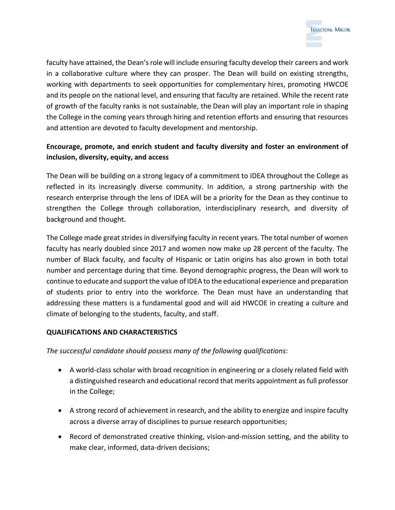

faculty have attained, the Dean's role will include ensuring faculty develop their careers and work in a collaborative culture where they can prosper. The Dean will build on existing strengths, working with departments to seek opportunities for complementary hires, promoting HWCOE and its people on the national level, and ensuring that faculty are retained. While the recent rate of growth of the faculty ranks is not sustainable, the Dean will play an important role in shaping the College in the coming years through hiring and retention efforts and ensuring that resources and attention are devoted to faculty development and mentorship.

# **Encourage, promote, and enrich student and faculty diversity and foster an environment of inclusion, diversity, equity, and access**

The Dean will be building on a strong legacy of a commitment to IDEA throughout the College as reflected in its increasingly diverse community. In addition, a strong partnership with the research enterprise through the lens of IDEA will be a priority for the Dean as they continue to strengthen the College through collaboration, interdisciplinary research, and diversity of background and thought.

The College made great strides in diversifying faculty in recent years. The total number of women faculty has nearly doubled since 2017 and women now make up 28 percent of the faculty. The number of Black faculty, and faculty of Hispanic or Latin origins has also grown in both total number and percentage during that time. Beyond demographic progress, the Dean will work to continue to educate and support the value of IDEA to the educational experience and preparation of students prior to entry into the workforce. The Dean must have an understanding that addressing these matters is a fundamental good and will aid HWCOE in creating a culture and climate of belonging to the students, faculty, and staff.

### **QUALIFICATIONS AND CHARACTERISTICS**

*The successful candidate should possess many of the following qualifications:*

- A world-class scholar with broad recognition in engineering or a closely related field with a distinguished research and educational record that merits appointment as full professor in the College;
- A strong record of achievement in research, and the ability to energize and inspire faculty across a diverse array of disciplines to pursue research opportunities;
- Record of demonstrated creative thinking, vision-and-mission setting, and the ability to make clear, informed, data-driven decisions;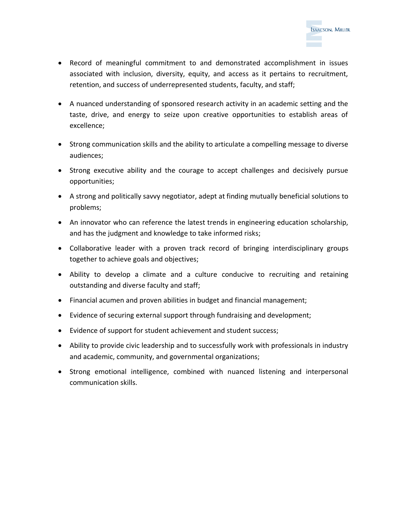

- Record of meaningful commitment to and demonstrated accomplishment in issues associated with inclusion, diversity, equity, and access as it pertains to recruitment, retention, and success of underrepresented students, faculty, and staff;
- A nuanced understanding of sponsored research activity in an academic setting and the taste, drive, and energy to seize upon creative opportunities to establish areas of excellence;
- Strong communication skills and the ability to articulate a compelling message to diverse audiences;
- Strong executive ability and the courage to accept challenges and decisively pursue opportunities;
- A strong and politically savvy negotiator, adept at finding mutually beneficial solutions to problems;
- An innovator who can reference the latest trends in engineering education scholarship, and has the judgment and knowledge to take informed risks;
- Collaborative leader with a proven track record of bringing interdisciplinary groups together to achieve goals and objectives;
- Ability to develop a climate and a culture conducive to recruiting and retaining outstanding and diverse faculty and staff;
- Financial acumen and proven abilities in budget and financial management;
- Evidence of securing external support through fundraising and development;
- Evidence of support for student achievement and student success;
- Ability to provide civic leadership and to successfully work with professionals in industry and academic, community, and governmental organizations;
- Strong emotional intelligence, combined with nuanced listening and interpersonal communication skills.